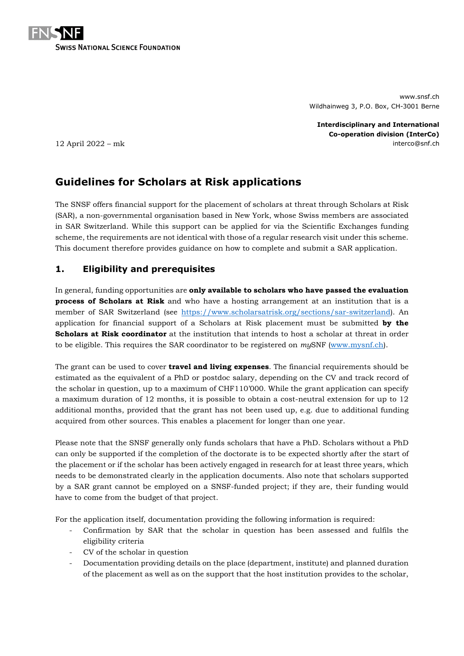

www.snsf.ch Wildhainweg 3, P.O. Box, CH-3001 Berne

**Interdisciplinary and International Co-operation division (InterCo)** 12 April 2022 – mk interco@snf.ch

# **Guidelines for Scholars at Risk applications**

The SNSF offers financial support for the placement of scholars at threat through Scholars at Risk (SAR), a non-governmental organisation based in New York, whose Swiss members are associated in SAR Switzerland. While this support can be applied for via the Scientific Exchanges funding scheme, the requirements are not identical with those of a regular research visit under this scheme. This document therefore provides guidance on how to complete and submit a SAR application.

# **1. Eligibility and prerequisites**

In general, funding opportunities are **only available to scholars who have passed the evaluation process of Scholars at Risk** and who have a hosting arrangement at an institution that is a member of SAR Switzerland (see [https://www.scholarsatrisk.org/sections/sar-switzerland\)](https://www.scholarsatrisk.org/sections/sar-switzerland). An application for financial support of a Scholars at Risk placement must be submitted **by the Scholars at Risk coordinator** at the institution that intends to host a scholar at threat in order to be eligible. This requires the SAR coordinator to be registered on *my*SNF [\(www.mysnf.ch\)](http://www.mysnf.ch/).

The grant can be used to cover **travel and living expenses**. The financial requirements should be estimated as the equivalent of a PhD or postdoc salary, depending on the CV and track record of the scholar in question, up to a maximum of CHF110'000. While the grant application can specify a maximum duration of 12 months, it is possible to obtain a cost-neutral extension for up to 12 additional months, provided that the grant has not been used up, e.g. due to additional funding acquired from other sources. This enables a placement for longer than one year.

Please note that the SNSF generally only funds scholars that have a PhD. Scholars without a PhD can only be supported if the completion of the doctorate is to be expected shortly after the start of the placement or if the scholar has been actively engaged in research for at least three years, which needs to be demonstrated clearly in the application documents. Also note that scholars supported by a SAR grant cannot be employed on a SNSF-funded project; if they are, their funding would have to come from the budget of that project.

For the application itself, documentation providing the following information is required:

- Confirmation by SAR that the scholar in question has been assessed and fulfils the eligibility criteria
- CV of the scholar in question
- Documentation providing details on the place (department, institute) and planned duration of the placement as well as on the support that the host institution provides to the scholar,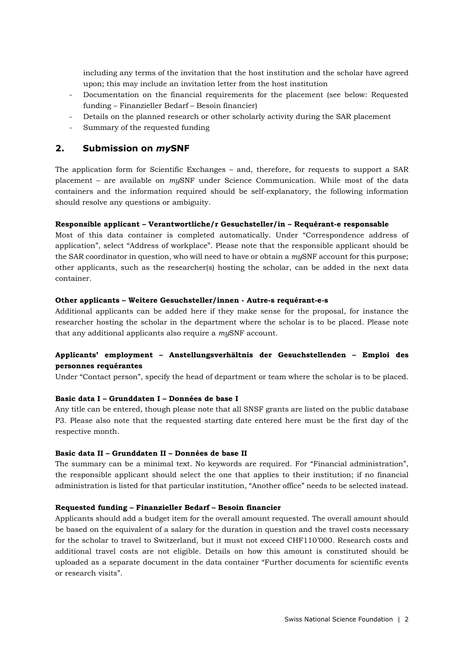including any terms of the invitation that the host institution and the scholar have agreed upon; this may include an invitation letter from the host institution

- Documentation on the financial requirements for the placement (see below: Requested funding – Finanzieller Bedarf – Besoin financier)
- Details on the planned research or other scholarly activity during the SAR placement
- Summary of the requested funding

## **2. Submission on** *my***SNF**

The application form for Scientific Exchanges – and, therefore, for requests to support a SAR placement – are available on *my*SNF under Science Communication. While most of the data containers and the information required should be self-explanatory, the following information should resolve any questions or ambiguity.

#### **Responsible applicant – Verantwortliche/r Gesuchsteller/in – Requérant-e responsable**

Most of this data container is completed automatically. Under "Correspondence address of application", select "Address of workplace". Please note that the responsible applicant should be the SAR coordinator in question, who will need to have or obtain a *my*SNF account for this purpose; other applicants, such as the researcher(s) hosting the scholar, can be added in the next data container.

#### **Other applicants – Weitere Gesuchsteller/innen - Autre-s requérant-e-s**

Additional applicants can be added here if they make sense for the proposal, for instance the researcher hosting the scholar in the department where the scholar is to be placed. Please note that any additional applicants also require a *my*SNF account.

## **Applicants' employment – Anstellungsverhältnis der Gesuchstellenden – Emploi des personnes requérantes**

Under "Contact person", specify the head of department or team where the scholar is to be placed.

#### **Basic data I – Grunddaten I – Données de base I**

Any title can be entered, though please note that all SNSF grants are listed on the public database P3. Please also note that the requested starting date entered here must be the first day of the respective month.

#### **Basic data II – Grunddaten II – Données de base II**

The summary can be a minimal text. No keywords are required. For "Financial administration", the responsible applicant should select the one that applies to their institution; if no financial administration is listed for that particular institution, "Another office" needs to be selected instead.

#### **Requested funding – Finanzieller Bedarf – Besoin financier**

Applicants should add a budget item for the overall amount requested. The overall amount should be based on the equivalent of a salary for the duration in question and the travel costs necessary for the scholar to travel to Switzerland, but it must not exceed CHF110'000. Research costs and additional travel costs are not eligible. Details on how this amount is constituted should be uploaded as a separate document in the data container "Further documents for scientific events or research visits".